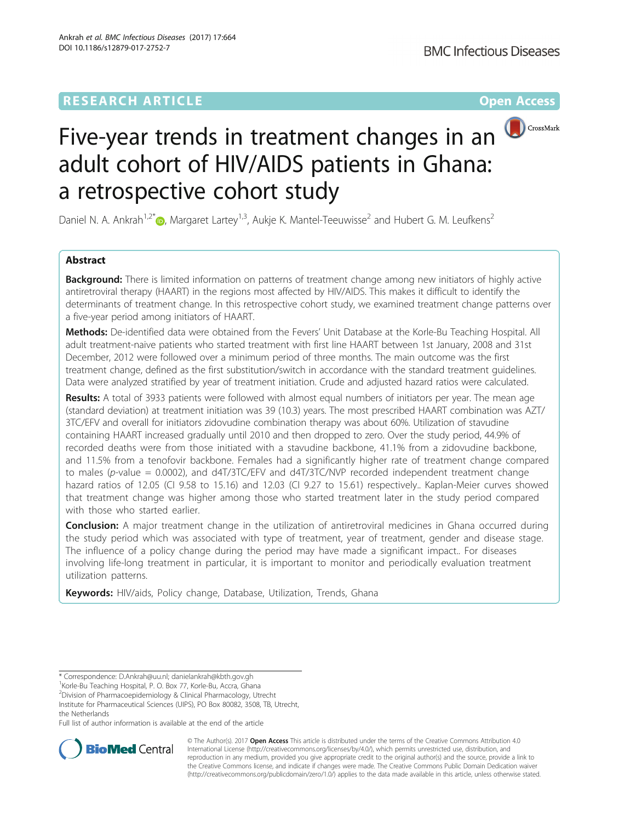## **RESEARCH ARTICLE Example 2014 12:30 The Contract of Contract ACCESS**



# Five-year trends in treatment changes in an adult cohort of HIV/AIDS patients in Ghana: a retrospective cohort study

Daniel N. A. Ankrah<sup>1[,](http://orcid.org/0000-0002-2447-1830)2\*</sup> (b), Margaret Lartey<sup>1,3</sup>, Aukje K. Mantel-Teeuwisse<sup>2</sup> and Hubert G. M. Leufkens<sup>2</sup>

## Abstract

**Background:** There is limited information on patterns of treatment change among new initiators of highly active antiretroviral therapy (HAART) in the regions most affected by HIV/AIDS. This makes it difficult to identify the determinants of treatment change. In this retrospective cohort study, we examined treatment change patterns over a five-year period among initiators of HAART.

Methods: De-identified data were obtained from the Fevers' Unit Database at the Korle-Bu Teaching Hospital. All adult treatment-naive patients who started treatment with first line HAART between 1st January, 2008 and 31st December, 2012 were followed over a minimum period of three months. The main outcome was the first treatment change, defined as the first substitution/switch in accordance with the standard treatment guidelines. Data were analyzed stratified by year of treatment initiation. Crude and adjusted hazard ratios were calculated.

Results: A total of 3933 patients were followed with almost equal numbers of initiators per year. The mean age (standard deviation) at treatment initiation was 39 (10.3) years. The most prescribed HAART combination was AZT/ 3TC/EFV and overall for initiators zidovudine combination therapy was about 60%. Utilization of stavudine containing HAART increased gradually until 2010 and then dropped to zero. Over the study period, 44.9% of recorded deaths were from those initiated with a stavudine backbone, 41.1% from a zidovudine backbone, and 11.5% from a tenofovir backbone. Females had a significantly higher rate of treatment change compared to males (p-value = 0.0002), and d4T/3TC/EFV and d4T/3TC/NVP recorded independent treatment change hazard ratios of 12.05 (CI 9.58 to 15.16) and 12.03 (CI 9.27 to 15.61) respectively.. Kaplan-Meier curves showed that treatment change was higher among those who started treatment later in the study period compared with those who started earlier.

**Conclusion:** A major treatment change in the utilization of antiretroviral medicines in Ghana occurred during the study period which was associated with type of treatment, year of treatment, gender and disease stage. The influence of a policy change during the period may have made a significant impact.. For diseases involving life-long treatment in particular, it is important to monitor and periodically evaluation treatment utilization patterns.

Keywords: HIV/aids, Policy change, Database, Utilization, Trends, Ghana

<sup>1</sup>Korle-Bu Teaching Hospital, P. O. Box 77, Korle-Bu, Accra, Ghana

2 Division of Pharmacoepidemiology & Clinical Pharmacology, Utrecht Institute for Pharmaceutical Sciences (UIPS), PO Box 80082, 3508, TB, Utrecht,

the Netherlands

Full list of author information is available at the end of the article



© The Author(s). 2017 **Open Access** This article is distributed under the terms of the Creative Commons Attribution 4.0 International License [\(http://creativecommons.org/licenses/by/4.0/](http://creativecommons.org/licenses/by/4.0/)), which permits unrestricted use, distribution, and reproduction in any medium, provided you give appropriate credit to the original author(s) and the source, provide a link to the Creative Commons license, and indicate if changes were made. The Creative Commons Public Domain Dedication waiver [\(http://creativecommons.org/publicdomain/zero/1.0/](http://creativecommons.org/publicdomain/zero/1.0/)) applies to the data made available in this article, unless otherwise stated.

<sup>\*</sup> Correspondence: [D.Ankrah@uu.nl;](mailto:D.Ankrah@uu.nl) [danielankrah@kbth.gov.gh](mailto:danielankrah@kbth.gov.gh) <sup>1</sup>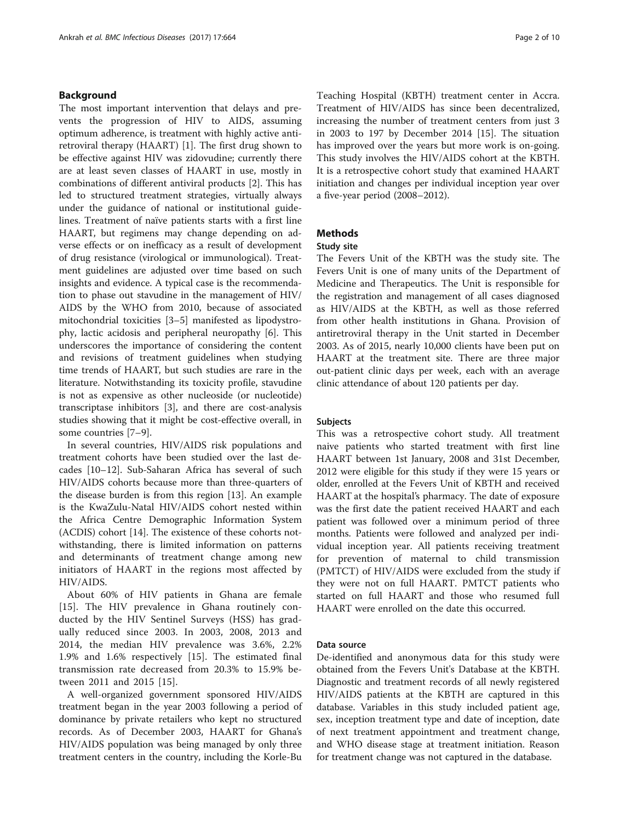## Background

The most important intervention that delays and prevents the progression of HIV to AIDS, assuming optimum adherence, is treatment with highly active antiretroviral therapy (HAART) [\[1](#page-8-0)]. The first drug shown to be effective against HIV was zidovudine; currently there are at least seven classes of HAART in use, mostly in combinations of different antiviral products [\[2](#page-8-0)]. This has led to structured treatment strategies, virtually always under the guidance of national or institutional guidelines. Treatment of naïve patients starts with a first line HAART, but regimens may change depending on adverse effects or on inefficacy as a result of development of drug resistance (virological or immunological). Treatment guidelines are adjusted over time based on such insights and evidence. A typical case is the recommendation to phase out stavudine in the management of HIV/ AIDS by the WHO from 2010, because of associated mitochondrial toxicities [\[3](#page-8-0)–[5\]](#page-8-0) manifested as lipodystrophy, lactic acidosis and peripheral neuropathy [\[6\]](#page-8-0). This underscores the importance of considering the content and revisions of treatment guidelines when studying time trends of HAART, but such studies are rare in the literature. Notwithstanding its toxicity profile, stavudine is not as expensive as other nucleoside (or nucleotide) transcriptase inhibitors [\[3\]](#page-8-0), and there are cost-analysis studies showing that it might be cost-effective overall, in some countries [\[7](#page-8-0)–[9\]](#page-8-0).

In several countries, HIV/AIDS risk populations and treatment cohorts have been studied over the last decades [[10](#page-8-0)–[12](#page-8-0)]. Sub-Saharan Africa has several of such HIV/AIDS cohorts because more than three-quarters of the disease burden is from this region [\[13\]](#page-8-0). An example is the KwaZulu-Natal HIV/AIDS cohort nested within the Africa Centre Demographic Information System (ACDIS) cohort [[14\]](#page-8-0). The existence of these cohorts notwithstanding, there is limited information on patterns and determinants of treatment change among new initiators of HAART in the regions most affected by HIV/AIDS.

About 60% of HIV patients in Ghana are female [[15\]](#page-8-0). The HIV prevalence in Ghana routinely conducted by the HIV Sentinel Surveys (HSS) has gradually reduced since 2003. In 2003, 2008, 2013 and 2014, the median HIV prevalence was 3.6%, 2.2% 1.9% and 1.6% respectively [[15](#page-8-0)]. The estimated final transmission rate decreased from 20.3% to 15.9% between 2011 and 2015 [[15\]](#page-8-0).

A well-organized government sponsored HIV/AIDS treatment began in the year 2003 following a period of dominance by private retailers who kept no structured records. As of December 2003, HAART for Ghana's HIV/AIDS population was being managed by only three treatment centers in the country, including the Korle-Bu Teaching Hospital (KBTH) treatment center in Accra. Treatment of HIV/AIDS has since been decentralized, increasing the number of treatment centers from just 3 in 2003 to 197 by December 2014 [\[15](#page-8-0)]. The situation has improved over the years but more work is on-going. This study involves the HIV/AIDS cohort at the KBTH. It is a retrospective cohort study that examined HAART initiation and changes per individual inception year over a five-year period (2008–2012).

## Methods

#### Study site

The Fevers Unit of the KBTH was the study site. The Fevers Unit is one of many units of the Department of Medicine and Therapeutics. The Unit is responsible for the registration and management of all cases diagnosed as HIV/AIDS at the KBTH, as well as those referred from other health institutions in Ghana. Provision of antiretroviral therapy in the Unit started in December 2003. As of 2015, nearly 10,000 clients have been put on HAART at the treatment site. There are three major out-patient clinic days per week, each with an average clinic attendance of about 120 patients per day.

#### Subjects

This was a retrospective cohort study. All treatment naive patients who started treatment with first line HAART between 1st January, 2008 and 31st December, 2012 were eligible for this study if they were 15 years or older, enrolled at the Fevers Unit of KBTH and received HAART at the hospital's pharmacy. The date of exposure was the first date the patient received HAART and each patient was followed over a minimum period of three months. Patients were followed and analyzed per individual inception year. All patients receiving treatment for prevention of maternal to child transmission (PMTCT) of HIV/AIDS were excluded from the study if they were not on full HAART. PMTCT patients who started on full HAART and those who resumed full HAART were enrolled on the date this occurred.

#### Data source

De-identified and anonymous data for this study were obtained from the Fevers Unit's Database at the KBTH. Diagnostic and treatment records of all newly registered HIV/AIDS patients at the KBTH are captured in this database. Variables in this study included patient age, sex, inception treatment type and date of inception, date of next treatment appointment and treatment change, and WHO disease stage at treatment initiation. Reason for treatment change was not captured in the database.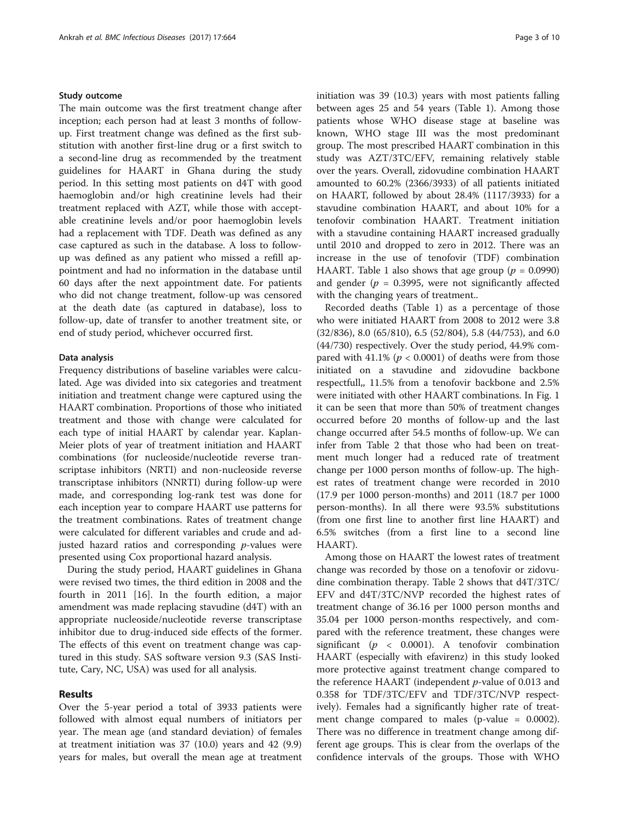### Study outcome

The main outcome was the first treatment change after inception; each person had at least 3 months of followup. First treatment change was defined as the first substitution with another first-line drug or a first switch to a second-line drug as recommended by the treatment guidelines for HAART in Ghana during the study period. In this setting most patients on d4T with good haemoglobin and/or high creatinine levels had their treatment replaced with AZT, while those with acceptable creatinine levels and/or poor haemoglobin levels had a replacement with TDF. Death was defined as any case captured as such in the database. A loss to followup was defined as any patient who missed a refill appointment and had no information in the database until 60 days after the next appointment date. For patients who did not change treatment, follow-up was censored at the death date (as captured in database), loss to follow-up, date of transfer to another treatment site, or end of study period, whichever occurred first.

#### Data analysis

Frequency distributions of baseline variables were calculated. Age was divided into six categories and treatment initiation and treatment change were captured using the HAART combination. Proportions of those who initiated treatment and those with change were calculated for each type of initial HAART by calendar year. Kaplan-Meier plots of year of treatment initiation and HAART combinations (for nucleoside/nucleotide reverse transcriptase inhibitors (NRTI) and non-nucleoside reverse transcriptase inhibitors (NNRTI) during follow-up were made, and corresponding log-rank test was done for each inception year to compare HAART use patterns for the treatment combinations. Rates of treatment change were calculated for different variables and crude and adjusted hazard ratios and corresponding  $p$ -values were presented using Cox proportional hazard analysis.

During the study period, HAART guidelines in Ghana were revised two times, the third edition in 2008 and the fourth in 2011 [[16\]](#page-8-0). In the fourth edition, a major amendment was made replacing stavudine (d4T) with an appropriate nucleoside/nucleotide reverse transcriptase inhibitor due to drug-induced side effects of the former. The effects of this event on treatment change was captured in this study. SAS software version 9.3 (SAS Institute, Cary, NC, USA) was used for all analysis.

#### Results

Over the 5-year period a total of 3933 patients were followed with almost equal numbers of initiators per year. The mean age (and standard deviation) of females at treatment initiation was 37 (10.0) years and 42 (9.9) years for males, but overall the mean age at treatment initiation was 39 (10.3) years with most patients falling between ages 25 and 54 years (Table [1](#page-3-0)). Among those patients whose WHO disease stage at baseline was known, WHO stage III was the most predominant group. The most prescribed HAART combination in this study was AZT/3TC/EFV, remaining relatively stable over the years. Overall, zidovudine combination HAART amounted to 60.2% (2366/3933) of all patients initiated on HAART, followed by about 28.4% (1117/3933) for a stavudine combination HAART, and about 10% for a tenofovir combination HAART. Treatment initiation with a stavudine containing HAART increased gradually until 2010 and dropped to zero in 2012. There was an increase in the use of tenofovir (TDF) combination HAART. Table [1](#page-3-0) also shows that age group ( $p = 0.0990$ ) and gender ( $p = 0.3995$ , were not significantly affected with the changing years of treatment..

Recorded deaths (Table [1](#page-3-0)) as a percentage of those who were initiated HAART from 2008 to 2012 were 3.8 (32/836), 8.0 (65/810), 6.5 (52/804), 5.8 (44/753), and 6.0 (44/730) respectively. Over the study period, 44.9% compared with  $41.1\%$  ( $p < 0.0001$ ) of deaths were from those initiated on a stavudine and zidovudine backbone respectfull,, 11.5% from a tenofovir backbone and 2.5% were initiated with other HAART combinations. In Fig. [1](#page-4-0) it can be seen that more than 50% of treatment changes occurred before 20 months of follow-up and the last change occurred after 54.5 months of follow-up. We can infer from Table [2](#page-5-0) that those who had been on treatment much longer had a reduced rate of treatment change per 1000 person months of follow-up. The highest rates of treatment change were recorded in 2010 (17.9 per 1000 person-months) and 2011 (18.7 per 1000 person-months). In all there were 93.5% substitutions (from one first line to another first line HAART) and 6.5% switches (from a first line to a second line HAART).

Among those on HAART the lowest rates of treatment change was recorded by those on a tenofovir or zidovudine combination therapy. Table [2](#page-5-0) shows that d4T/3TC/ EFV and d4T/3TC/NVP recorded the highest rates of treatment change of 36.16 per 1000 person months and 35.04 per 1000 person-months respectively, and compared with the reference treatment, these changes were significant ( $p \lt 0.0001$ ). A tenofovir combination HAART (especially with efavirenz) in this study looked more protective against treatment change compared to the reference HAART (independent  $p$ -value of 0.013 and 0.358 for TDF/3TC/EFV and TDF/3TC/NVP respectively). Females had a significantly higher rate of treatment change compared to males (p-value = 0.0002). There was no difference in treatment change among different age groups. This is clear from the overlaps of the confidence intervals of the groups. Those with WHO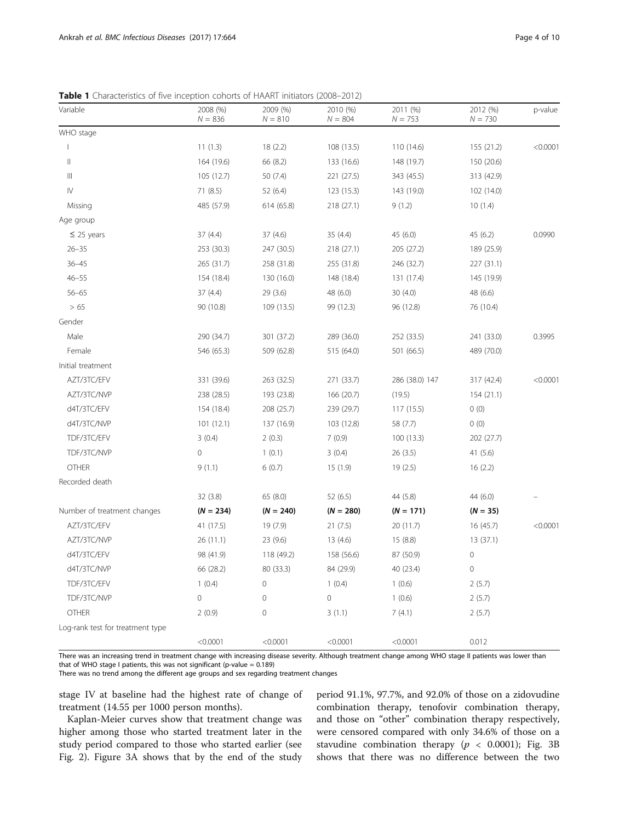Variable 2008 (%)  $N - 836$ 2009 (%)  $N = 810$ 2010 (%)  $N = 804$ 2011 (%)  $N = 753$ 2012 (%)  $N = 730$ p-value WHO stage I 11 (1.3) 18 (2.2) 108 (13.5) 110 (14.6) 155 (21.2) <0.0001  $\parallel$  164 (19.6) 66 (8.2) 133 (16.6) 148 (19.7) 150 (20.6) III 105 (12.7) 50 (7.4) 221 (27.5) 343 (45.5) 313 (42.9) IV 71 (8.5) 52 (6.4) 123 (15.3) 143 (19.0) 102 (14.0) Missing 485 (57.9) 614 (65.8) 218 (27.1) 9 (1.2) 10 (1.4) Age group  $\leq$  25 years 37 (4.4) 37 (4.4) 37 (4.6) 35 (4.4) 45 (6.0) 45 (6.2) 0.0990 26–35 253 (30.3) 247 (30.5) 218 (27.1) 205 (27.2) 189 (25.9) 36–45 265 (31.7) 258 (31.8) 255 (31.8) 246 (32.7) 227 (31.1) 46–55 154 (18.4) 130 (16.0) 148 (18.4) 131 (17.4) 145 (19.9) 56–65 37 (4.4) 29 (3.6) 48 (6.0) 30 (4.0) 48 (6.6) > 65 90 (10.8) 109 (13.5) 99 (12.3) 96 (12.8) 76 (10.4) Gender Male 290 (34.7) 301 (37.2) 289 (36.0) 252 (33.5) 241 (33.0) 0.3995 Female 546 (65.3) 509 (62.8) 515 (64.0) 501 (66.5) 489 (70.0) Initial treatment AZT/3TC/EFV 331 (39.6) 263 (32.5) 271 (33.7) 286 (38.0) 147 317 (42.4) <0.0001 AZT/3TC/NVP 238 (28.5) 193 (23.8) 166 (20.7) (19.5) 154 (21.1) d4T/3TC/EFV 154 (18.4) 208 (25.7) 239 (29.7) 117 (15.5) 0 (0) d4T/3TC/NVP 101 (12.1) 137 (16.9) 103 (12.8) 58 (7.7) 0 (0) TDF/3TC/EFV 3 (0.4) 2 (0.3) 7 (0.9) 100 (13.3) 202 (27.7) TDF/3TC/NVP 0 1 (0.1) 3 (0.4) 26 (3.5) 41 (5.6) OTHER 9 (1.1) 6 (0.7) 15 (1.9) 19 (2.5) 16 (2.2) Recorded death 32 (3.8) 65 (8.0) 52 (6.5) 44 (5.8) 44 (6.0) – Number of treatment changes  $(N = 234)$   $(N = 240)$   $(N = 280)$   $(N = 171)$   $(N = 35)$ AZT/3TC/EFV 41 (17.5) 19 (7.9) 21 (7.5) 20 (11.7) 16 (45.7) <0.0001 AZT/3TC/NVP 26 (11.1) 23 (9.6) 13 (4.6) 15 (8.8) 13 (37.1) d4T/3TC/EFV 98 (41.9) 118 (49.2) 158 (56.6) 87 (50.9) 0 d4T/3TC/NVP 66 (28.2) 80 (33.3) 84 (29.9) 40 (23.4) 0 TDF/3TC/EFV 1 (0.4) 0 1 (0.4) 1 (0.6) 2 (5.7) TDF/3TC/NVP 0001 (0.6) 2 (5.7) OTHER 2 (0.9) 0 3 (1.1) 7 (4.1) 2 (5.7) Log-rank test for treatment type <0.0001 <0.0001 <0.0001 <0.0001 0.012

<span id="page-3-0"></span>Table 1 Characteristics of five inception cohorts of HAART initiators (2008–2012)

There was an increasing trend in treatment change with increasing disease severity. Although treatment change among WHO stage II patients was lower than that of WHO stage I patients, this was not significant (p-value = 0.189)

There was no trend among the different age groups and sex regarding treatment changes

stage IV at baseline had the highest rate of change of treatment (14.55 per 1000 person months).

Kaplan-Meier curves show that treatment change was higher among those who started treatment later in the study period compared to those who started earlier (see Fig. [2\)](#page-6-0). Figure [3A](#page-7-0) shows that by the end of the study

period 91.1%, 97.7%, and 92.0% of those on a zidovudine combination therapy, tenofovir combination therapy, and those on "other" combination therapy respectively, were censored compared with only 34.6% of those on a stavudine combination therapy ( $p < 0.0001$ ); Fig. [3B](#page-7-0) shows that there was no difference between the two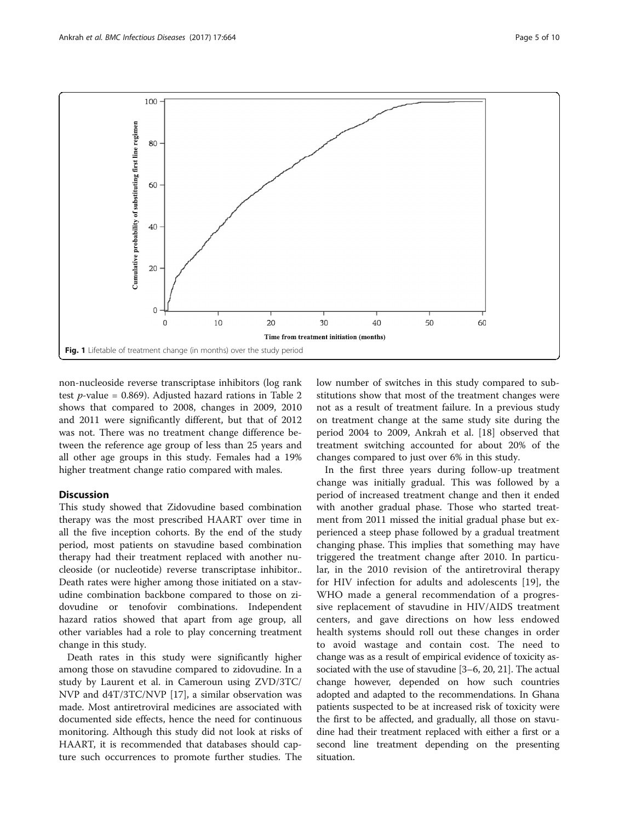<span id="page-4-0"></span>

non-nucleoside reverse transcriptase inhibitors (log rank test  $p$ -value = 0.869). Adjusted hazard rations in Table [2](#page-5-0) shows that compared to 2008, changes in 2009, 2010 and 2011 were significantly different, but that of 2012 was not. There was no treatment change difference between the reference age group of less than 25 years and all other age groups in this study. Females had a 19% higher treatment change ratio compared with males.

## **Discussion**

This study showed that Zidovudine based combination therapy was the most prescribed HAART over time in all the five inception cohorts. By the end of the study period, most patients on stavudine based combination therapy had their treatment replaced with another nucleoside (or nucleotide) reverse transcriptase inhibitor.. Death rates were higher among those initiated on a stavudine combination backbone compared to those on zidovudine or tenofovir combinations. Independent hazard ratios showed that apart from age group, all other variables had a role to play concerning treatment change in this study.

Death rates in this study were significantly higher among those on stavudine compared to zidovudine. In a study by Laurent et al. in Cameroun using ZVD/3TC/ NVP and d4T/3TC/NVP [[17\]](#page-8-0), a similar observation was made. Most antiretroviral medicines are associated with documented side effects, hence the need for continuous monitoring. Although this study did not look at risks of HAART, it is recommended that databases should capture such occurrences to promote further studies. The

low number of switches in this study compared to substitutions show that most of the treatment changes were not as a result of treatment failure. In a previous study on treatment change at the same study site during the period 2004 to 2009, Ankrah et al. [[18\]](#page-8-0) observed that treatment switching accounted for about 20% of the changes compared to just over 6% in this study.

In the first three years during follow-up treatment change was initially gradual. This was followed by a period of increased treatment change and then it ended with another gradual phase. Those who started treatment from 2011 missed the initial gradual phase but experienced a steep phase followed by a gradual treatment changing phase. This implies that something may have triggered the treatment change after 2010. In particular, in the 2010 revision of the antiretroviral therapy for HIV infection for adults and adolescents [[19\]](#page-8-0), the WHO made a general recommendation of a progressive replacement of stavudine in HIV/AIDS treatment centers, and gave directions on how less endowed health systems should roll out these changes in order to avoid wastage and contain cost. The need to change was as a result of empirical evidence of toxicity associated with the use of stavudine [[3](#page-8-0)–[6](#page-8-0), [20](#page-8-0), [21\]](#page-8-0). The actual change however, depended on how such countries adopted and adapted to the recommendations. In Ghana patients suspected to be at increased risk of toxicity were the first to be affected, and gradually, all those on stavudine had their treatment replaced with either a first or a second line treatment depending on the presenting situation.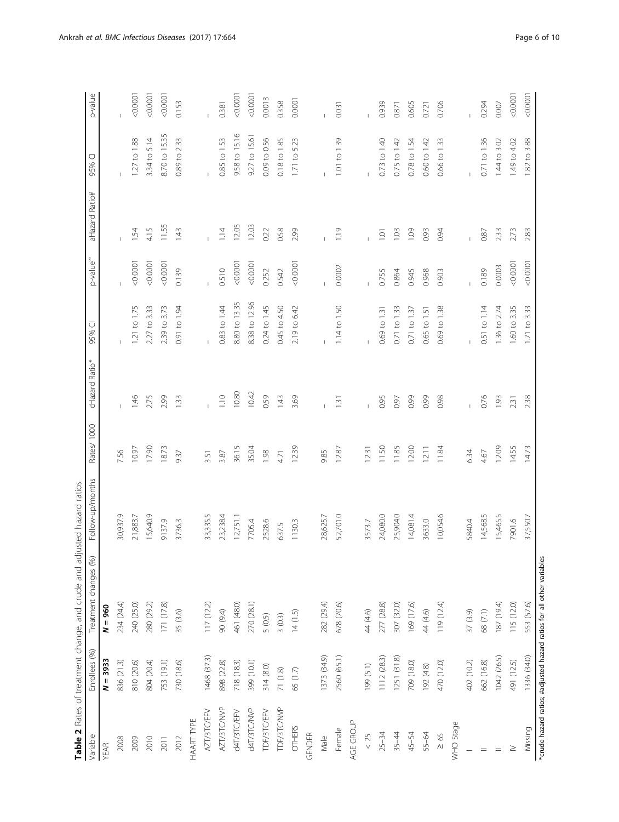<span id="page-5-0"></span>

|                   |               | Table 2 Rates of treatment change, and crude and adju                 | usted hazard ratios |             |                |                         |                      |                |                       |                |
|-------------------|---------------|-----------------------------------------------------------------------|---------------------|-------------|----------------|-------------------------|----------------------|----------------|-----------------------|----------------|
| Variable          | Enrollees (%) | Treatment changes (%)                                                 | Follow-up/months    | Rates/ 1000 | cHazard Ratio* | ○<br>95%                | p-value <sup>®</sup> | aHazard Ratio# | ū<br>95%              | p-value        |
| YEAR              | $N = 3933$    | $N = 960$                                                             |                     |             |                |                         |                      |                |                       |                |
| 2008              | 836 (21.3)    | 234 (24.4)                                                            | 30,937.9            | 7.56        |                |                         |                      |                |                       |                |
| 2009              | 810 (20.6)    | 240 (25.0)                                                            | 21,883.7            | 10.97       | 1.46           | 1.21 to 1.75            | 0.0001               | 1.54           | 1.27 to 1.88          | 0.0001         |
| 2010              | 804 (20.4)    | 280 (29.2)                                                            | 15,640.9            | 17.90       | 2.75           | 2.27 to 3.33            | 0.0001               | 4.15           | 3.34 to 5.14          | 0.0001         |
| 2011              | 753 (19.1)    | 171 (17.8)                                                            | 9137.9              | 18.73       | 2.99           | 2.39 to 3.73            | 0.0001               | 11.55          | 8.70 to 15.35         | 0.0001         |
| 2012              | 730 (18.6)    | 35 (3.6)                                                              | 3736.3              | 9.37        | 1.33           | 0.91 to 1.94            | 0.139                | 1.43           | 0.89 to 2.33          | 0.153          |
| HAART TYPE        |               |                                                                       |                     |             |                |                         |                      |                |                       |                |
| AZT/3TC/EFV       | 1468 (37.3)   | 117(12.2)                                                             | 33,335.5            | 3.51        |                |                         |                      |                |                       | $\overline{1}$ |
| AZT/3TC/NVP       | 898 (22.8)    | 90 (9.4)                                                              | 23,238.4            | 3.87        | 1.10           | 0.83 to 1.44            | 0.510                | 1.14           | 0.85 to 1.53          | 0.381          |
| d4T/3TC/EFV       | 718 (18.3)    | 461 (48.0)                                                            | 12,751.1            | 36.15       | 10.80          | 8.80 to 13.35           | 0.0001               | 12.05          | 9.58 to 15.16         | 0.0001         |
| d4T/3TC/NVP       | 399 (10.1)    | 270 (28.1)                                                            | 7705.4              | 35.04       | 10.42          | 8.38 to 12.96           | 0.0001               | 12.03          | 9.27 to 15.61         | 0.0001         |
| TDF/3TC/EFV       | 314(8.0)      | 5 (0.5)                                                               | 2528.6              | 1.98        | 0.59           | 0.24 to 1.45            | 0.252                | 0.22           | 0.09 to 0.56          | 0.0013         |
| TDF/3TC/NVP       | 71(1.8)       | 3(0.3)                                                                | 637.5               | 4.71        | 1.43           | 0.45 to 4.50            | 0.542                | 0.58           | $0.18$ to $1.85$      | 0.358          |
| OTHERS            | 65 (1.7)      | 14(1.5)                                                               | 1130.3              | 12.39       | 3.69           | 2.19 to 6.42            | 100000               | 2.99           | 5.23<br>$1.71$ to $1$ | 0.0001         |
| GENDER            |               |                                                                       |                     |             |                |                         |                      |                |                       |                |
| Male              | 1373 (34.9)   | 282 (29.4)                                                            | 28,625.7            | 9.85        |                |                         |                      |                |                       |                |
| Female            | 2560 (65.1)   | 678 (70.6)                                                            | 52,701.0            | 12.87       | 1.31           | 1.14 to 1.50            | 0.0002               | 1.19           | 1.01 to 1.39          | 0.031          |
| AGE GROUP         |               |                                                                       |                     |             |                |                         |                      |                |                       |                |
| $<25$             | 199 (5.1)     | 44 (4.6)                                                              | 3573.7              | 12.31       |                |                         |                      | $\mathbf{I}$   |                       | $\overline{1}$ |
| $25 - 34$         | 1112 (28.3)   | 277 (28.8)                                                            | 24,080.0            | 11.50       | 0.95           | $0.69$ to $1.31$        | 0.755                | 1.01           | 0.73 to 1.40          | 0.939          |
| $35 - 44$         | 1251(31.8)    | 307 (32.0)                                                            | 25,904.0            | 11.85       | 0.97           | 0.71 to 1.33            | 0.864                | 1.03           | 0.75 to 1.42          | 0.871          |
| 45-54             | 709 (18.0)    | 169 (17.6)                                                            | 14,081.4            | 12.00       | 0.99           | $0.71 \text{ to } 1.37$ | 0.945                | 1.09           | 0.78 to 1.54          | 0.605          |
| 55-64             | 192 (4.8)     | 44 (4.6)                                                              | 3633.0              | 12.11       | 0.99           | 0.65 to 1.51            | 0.968                | 0.93           | 0.60 to 1.42          | 0.721          |
| $\geq 65$         | 470 (12.0)    | 119 (12.4)                                                            | 10,054.6            | 11.84       | 0.98           | 0.69 to 1.38            | 0.903                | 0.94           | 0.66 to 1.33          | 0.706          |
| WHO Stage         |               |                                                                       |                     |             |                |                         |                      |                |                       |                |
|                   | 402 (10.2)    | 37(3.9)                                                               | 5840.4              | 6.34        |                |                         |                      |                |                       | $\overline{1}$ |
|                   | 662 (16.8)    | 68 (7.1)                                                              | 14,568.5            | 4.67        | 0.76           | 0.51 to 1.14            | 0.189                | 0.87           | $0.71$ to $1.36$      | 0.294          |
| $\qquad \qquad =$ | 1042 (26.5)   | 187 (19.4)                                                            | 15,465.5            | 12.09       | 1.93           | 1.36 to 2.74            | 0.0003               | 2.33           | 1.44 to 3.02          | 0.007          |
| $\geq$            | 491 (12.5)    | 115 (12.0)                                                            | 7901.6              | 14.55       | 2.31           | 1.60 to 3.35            | < 0.0001             | 2.73           | 1.49 to 4.02          | 0.0001         |
| Missing           | 1336 (34.0)   | 553 (57.6)                                                            | 37,550.7            | 14.73       | 2.38           | 1.71 to 3.33            | < 0.0001             | 2.83           | to 3.88<br>1.82       | 0.0001         |
|                   |               | *crude hazard ratios; #adjusted hazard ratios for all other variables |                     |             |                |                         |                      |                |                       |                |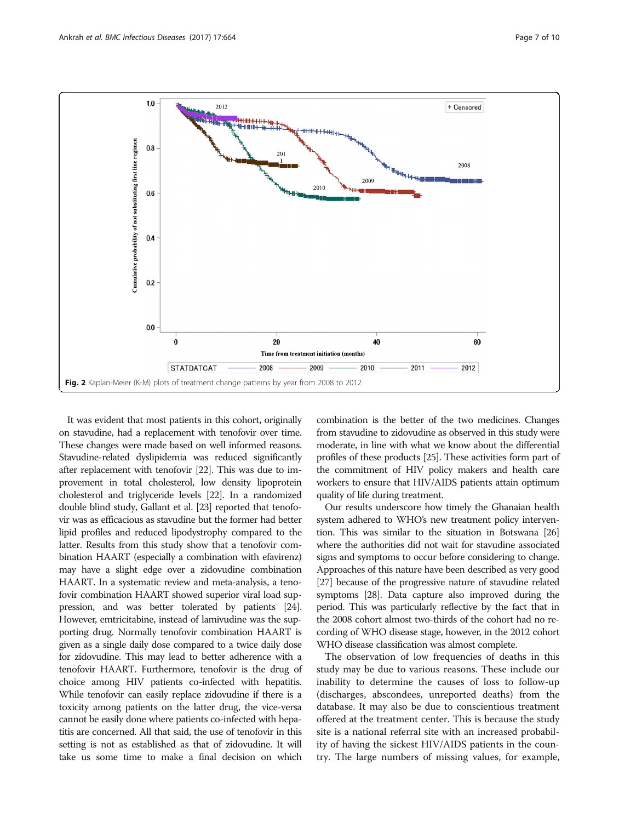<span id="page-6-0"></span>

It was evident that most patients in this cohort, originally on stavudine, had a replacement with tenofovir over time. These changes were made based on well informed reasons. Stavudine-related dyslipidemia was reduced significantly after replacement with tenofovir [\[22\]](#page-8-0). This was due to improvement in total cholesterol, low density lipoprotein cholesterol and triglyceride levels [[22\]](#page-8-0). In a randomized double blind study, Gallant et al. [[23](#page-8-0)] reported that tenofovir was as efficacious as stavudine but the former had better lipid profiles and reduced lipodystrophy compared to the latter. Results from this study show that a tenofovir combination HAART (especially a combination with efavirenz) may have a slight edge over a zidovudine combination HAART. In a systematic review and meta-analysis, a tenofovir combination HAART showed superior viral load suppression, and was better tolerated by patients [\[24](#page-9-0)]. However, emtricitabine, instead of lamivudine was the supporting drug. Normally tenofovir combination HAART is given as a single daily dose compared to a twice daily dose for zidovudine. This may lead to better adherence with a tenofovir HAART. Furthermore, tenofovir is the drug of choice among HIV patients co-infected with hepatitis. While tenofovir can easily replace zidovudine if there is a toxicity among patients on the latter drug, the vice-versa cannot be easily done where patients co-infected with hepatitis are concerned. All that said, the use of tenofovir in this setting is not as established as that of zidovudine. It will take us some time to make a final decision on which combination is the better of the two medicines. Changes from stavudine to zidovudine as observed in this study were moderate, in line with what we know about the differential profiles of these products [\[25\]](#page-9-0). These activities form part of the commitment of HIV policy makers and health care workers to ensure that HIV/AIDS patients attain optimum quality of life during treatment.

Our results underscore how timely the Ghanaian health system adhered to WHO's new treatment policy intervention. This was similar to the situation in Botswana [\[26](#page-9-0)] where the authorities did not wait for stavudine associated signs and symptoms to occur before considering to change. Approaches of this nature have been described as very good [[27](#page-9-0)] because of the progressive nature of stavudine related symptoms [\[28\]](#page-9-0). Data capture also improved during the period. This was particularly reflective by the fact that in the 2008 cohort almost two-thirds of the cohort had no recording of WHO disease stage, however, in the 2012 cohort WHO disease classification was almost complete.

The observation of low frequencies of deaths in this study may be due to various reasons. These include our inability to determine the causes of loss to follow-up (discharges, abscondees, unreported deaths) from the database. It may also be due to conscientious treatment offered at the treatment center. This is because the study site is a national referral site with an increased probability of having the sickest HIV/AIDS patients in the country. The large numbers of missing values, for example,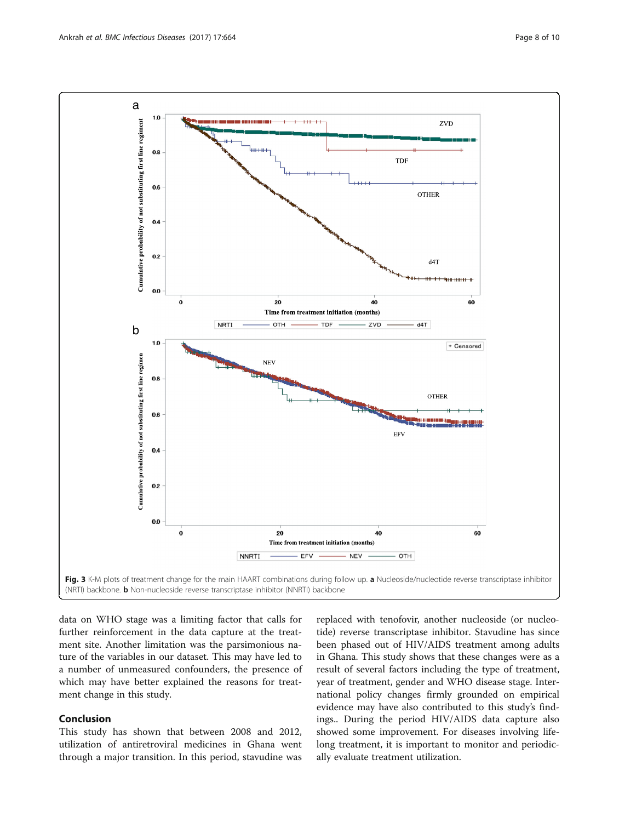<span id="page-7-0"></span>

data on WHO stage was a limiting factor that calls for further reinforcement in the data capture at the treatment site. Another limitation was the parsimonious nature of the variables in our dataset. This may have led to a number of unmeasured confounders, the presence of which may have better explained the reasons for treatment change in this study.

## Conclusion

This study has shown that between 2008 and 2012, utilization of antiretroviral medicines in Ghana went through a major transition. In this period, stavudine was

replaced with tenofovir, another nucleoside (or nucleotide) reverse transcriptase inhibitor. Stavudine has since been phased out of HIV/AIDS treatment among adults in Ghana. This study shows that these changes were as a result of several factors including the type of treatment, year of treatment, gender and WHO disease stage. International policy changes firmly grounded on empirical evidence may have also contributed to this study's findings.. During the period HIV/AIDS data capture also showed some improvement. For diseases involving lifelong treatment, it is important to monitor and periodically evaluate treatment utilization.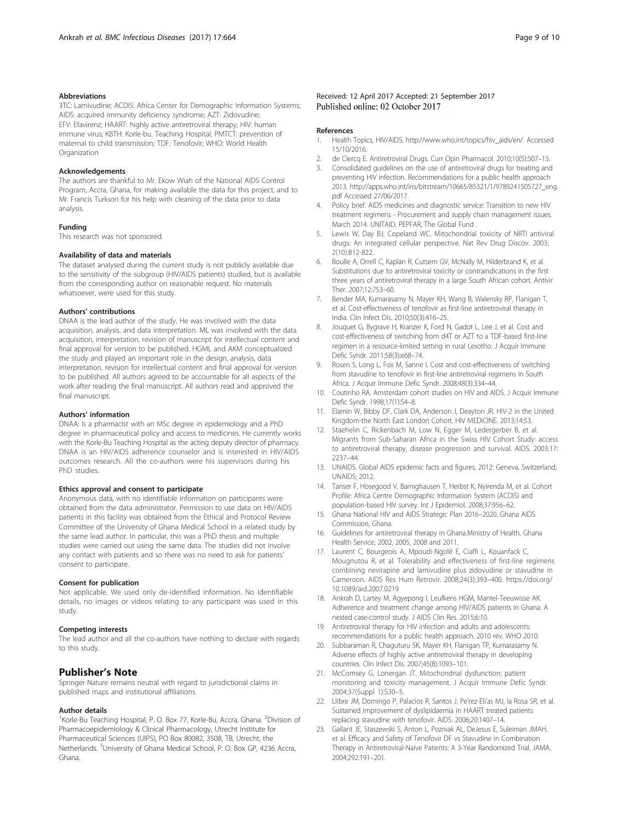<span id="page-8-0"></span>3TC: Lamivudine; ACDIS: Africa Center for Demographic Information Systems; AIDS: acquired immunity deficiency syndrome; AZT: Zidovudine; EFV: Efavirenz; HAART: highly active antiretroviral therapy; HIV: human immune virus; KBTH: Korle-bu. Teaching Hospital; PMTCT: prevention of maternal to child transmission; TDF: Tenofovir; WHO: World Health Organization

#### Acknowledgements

The authors are thankful to Mr. Ekow Wiah of the National AIDS Control Program, Accra, Ghana, for making available the data for this project, and to Mr. Francis Turkson for his help with cleaning of the data prior to data analysis.

#### Funding

This research was not sponsored.

#### Availability of data and materials

The dataset analysed during the current study is not publicly available due to the sensitivity of the subgroup (HIV/AIDS patients) studied, but is available from the corresponding author on reasonable request. No materials whatsoever, were used for this study.

#### Authors' contributions

DNAA is the lead author of the study. He was involved with the data acquisition, analysis, and data interpretation. ML was involved with the data acquisition, interpretation, revision of manuscript for intellectual content and final approval for version to be published. HGML and AKM conceptualized the study and played an important role in the design, analysis, data interpretation, revision for intellectual content and final approval for version to be published. All authors agreed to be accountable for all aspects of the work after reading the final manuscript. All authors read and approved the final manuscript.

#### Authors' information

DNAA: Is a pharmacist with an MSc degree in epidemiology and a PhD degree in pharmaceutical policy and access to medicines. He currently works with the Korle-Bu Teaching Hospital as the acting deputy director of pharmacy. DNAA is an HIV/AIDS adherence counselor and is interested in HIV/AIDS outcomes research. All the co-authors were his supervisors during his PhD studies.

#### Ethics approval and consent to participate

Anonymous data, with no identifiable information on participants were obtained from the data administrator. Permission to use data on HIV/AIDS patients in this facility was obtained from the Ethical and Protocol Review Committee of the University of Ghana Medical School in a related study by the same lead author. In particular, this was a PhD thesis and multiple studies were carried out using the same data. The studies did not involve any contact with patients and so there was no need to ask for patients' consent to participate.

#### Consent for publication

Not applicable. We used only de-identified information. No identifiable details, no images or videos relating to any participant was used in this study.

#### Competing interests

The lead author and all the co-authors have nothing to declare with regards to this study.

#### Publisher's Note

Springer Nature remains neutral with regard to jurisdictional claims in published maps and institutional affiliations.

#### Author details

<sup>1</sup>Korle-Bu Teaching Hospital, P. O. Box 77, Korle-Bu, Accra, Ghana. <sup>2</sup>Division of Pharmacoepidemiology & Clinical Pharmacology, Utrecht Institute for Pharmaceutical Sciences (UIPS), PO Box 80082, 3508, TB, Utrecht, the Netherlands. <sup>3</sup>University of Ghana Medical School, P. O. Box GP, 4236 Accra, Ghana.

#### Received: 12 April 2017 Accepted: 21 September 2017 Published online: 02 October 2017

#### References

- 1. Health Topics, HIV/AIDS. [http://www.who.int/topics/hiv\\_aids/en/.](http://www.who.int/topics/hiv_aids/en/) Accessed 15/10/2016.
- 2. de Clercq E. Antiretroviral Drugs. Curr Opin Pharmacol. 2010;10(5):507–15.
- 3. Consolidated guidelines on the use of antiretroviral drugs for treating and preventing HIV infection. Recommendations for a public health approach 2013. [http://apps.who.int/iris/bitstream/10665/85321/1/9789241505727\\_eng.](http://apps.who.int/iris/bitstream/10665/85321/1/9789241505727_eng.pdf) [pdf](http://apps.who.int/iris/bitstream/10665/85321/1/9789241505727_eng.pdf) Accessed 27/06/2017.
- 4. Policy brief. AIDS medicines and diagnostic service: Transition to new HIV treatment regimens - Procurement and supply chain management issues. March 2014. UNITAID, PEPFAR, The Global Fund .
- 5. Lewis W, Day BJ, Copeland WC. Mitochondrial toxicity of NRTI antiviral drugs: An integrated cellular perspective. Nat Rev Drug Discov. 2003; 2(10):812-822.
- 6. Boulle A, Orrell C, Kaplan R, Cutsem GV, McNally M, Hilderbrand K, et al. Substitutions due to antiretroviral toxicity or contraindications in the first three years of antiretroviral therapy in a large South African cohort. Antivir Ther. 2007;12:753–60.
- 7. Bender MA, Kumarasamy N, Mayer KH, Wang B, Walensky RP, Flanigan T, et al. Cost-effectiveness of tenofovir as first-line antiretroviral therapy in India. Clin Infect Dis. 2010;50(3):416–25.
- 8. Jouquet G, Bygrave H, Kranzer K, Ford N, Gadot L, Lee J, et al. Cost and cost-effectiveness of switching from d4T or AZT to a TDF-based first-line regimen in a resource-limited setting in rural Lesotho. J Acquir Immune Defic Syndr. 2011;58(3):e68–74.
- Rosen S, Long L, Fox M, Sanne I. Cost and cost-effectiveness of switching from stavudine to tenofovir in first-line antiretroviral regimens in South Africa. J Acquir Immune Defic Syndr. 2008;48(3):334–44.
- 10. Coutinho RA. Amsterdam cohort studies on HIV and AIDS. J Acquir Immune Defic Syndr. 1998;17(1):S4–8.
- 11. Elamin W, Bibby DF, Clark DA, Anderson J, Deayton JR. HIV-2 in the United Kingdom-the North East London Cohort. HIV MEDICINE. 2013;14:53.
- 12. Staehelin C, Rickenbach M, Low N, Egger M, Ledergerber B, et al. Migrants from Sub-Saharan Africa in the Swiss HIV Cohort Study: access to antiretroviral therapy, disease progression and survival. AIDS. 2003;17: 2237–44.
- 13. UNAIDS. Global AIDS epidemic facts and figures, 2012: Geneva, Switzerland; UNAIDS; 2012.
- 14. Tanser F, Hosegood V, Barnighausen T, Herbst K, Nyirenda M, et al. Cohort Profile: Africa Centre Demographic Information System (ACDIS) and population-based HIV survey. Int J Epidemiol. 2008;37:956–62.
- 15. Ghana National HIV and AIDS Strategic Plan 2016–2020. Ghana AIDS Commission, Ghana.
- 16. Guidelines for antiretroviral therapy in Ghana.Ministry of Health, Ghana Health Service. 2002, 2005, 2008 and 2011.
- 17. Laurent C, Bourgeois A, Mpoudi-Ngolé E, Ciaffi L, Kouanfack C, Mougnutou R, et al. Tolerability and effectiveness of first-line regimens combining nevirapine and lamivudine plus zidovudine or stavudine in Cameroon. AIDS Res Hum Retrovir. 2008;24(3):393–400. [https://doi.org/](http://dx.doi.org/10.1089/aid.2007.0219) [10.1089/aid.2007.0219](http://dx.doi.org/10.1089/aid.2007.0219)
- 18. Ankrah D, Lartey M, Agyepong I, Leufkens HGM, Mantel-Teeuwisse AK. Adherence and treatment change among HIV/AIDS patients in Ghana: A nested case-control study. J AIDS Clin Res. 2015;6:10.
- 19. Antiretroviral therapy for HIV infection and adults and adolescents: recommendations for a public health approach. 2010 rev. WHO 2010.
- 20. Subbaraman R, Chaguturu SK, Mayer KH, Flanigan TP, Kumarasamy N. Adverse effects of highly active antiretroviral therapy in developing countries. Clin Infect Dis. 2007;45(8):1093–101.
- 21. McComsey G, Lonergan JT. Mitochondrial dysfunction: patient monitoring and toxicity management. J Acquir Immune Defic Syndr. 2004;37(Suppl 1):S30–5.
- 22. Llibre JM, Domingo P, Palacios R, Santos J, Pe'rez-Elı'as MJ, la Rosa SR, et al. Sustained improvement of dyslipidaemia in HAART treated patients replacing stavudine with tenofovir. AIDS. 2006;20:1407–14.
- 23. Gallant JE, Staszewski S, Anton L, Pozniak AL, DeJesus E, Suleiman JMAH, et al. Efficacy and Safety of Tenofovir DF vs Stavudine in Combination Therapy in Antiretroviral-Naive Patients: A 3-Year Randomized Trial. JAMA. 2004;292:191–201.